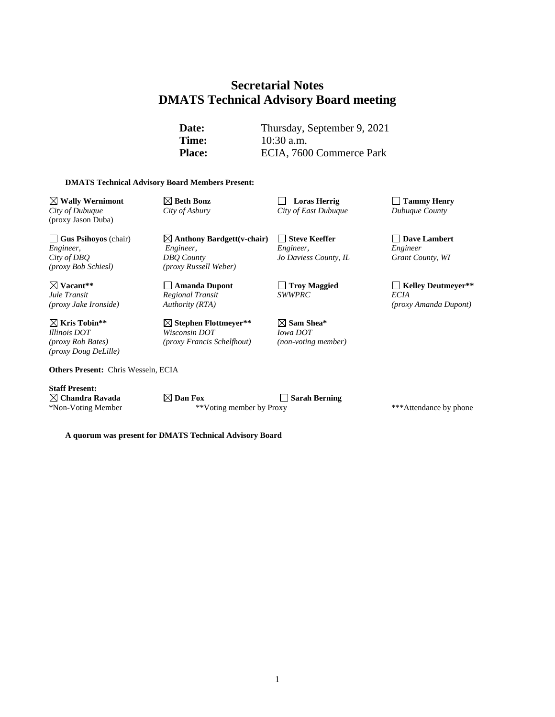# **Secretarial Notes DMATS Technical Advisory Board meeting**

**Date:** Thursday, September 9, 2021 **Time:** 10:30 a.m. Place: ECIA, 7600 Commerce Park

#### **DMATS Technical Advisory Board Members Present:**

**Wally Wernimont Beth Bonz Loras Herrig Tammy Henry** *City of Dubuque City of Asbury City of East Dubuque Dubuque County* (proxy Jason Duba)

**Gus Psihoyos** (chair) **Anthony Bardgett(v-chair) Steve Keeffer Dave Lambert** *Engineer, Engineer, Engineer, Engineer City of DBQ DBQ County Jo Daviess County, IL Grant County, WI (proxy Bob Schiesl) (proxy Russell Weber)*

*Regional Transit*<br>*Authority (RTA)* 

**Kris Tobin\*\* Stephen Flottmeyer\*\* Sam Shea\*** *Illinois DOT Wisconsin DOT Iowa DOT (proxy Rob Bates) (proxy Francis Schelfhout) (non-voting member)*

**Others Present:** Chris Wesseln, ECIA

**Staff Present:**

*(proxy Doug DeLille)*

 $\boxtimes$  **Chandra Ravada Dan Fox Desember Sarah Berning** \*Non-Voting Member \*\*Voting member by Proxy \*\*\*Attendance by phone

**Vacant\*\* Amanda Dupont Troy Maggied Kelley Deutmeyer\*\*** *(proxy Jake Ironside) Authority (RTA) (proxy Amanda Dupont)*

**A quorum was present for DMATS Technical Advisory Board**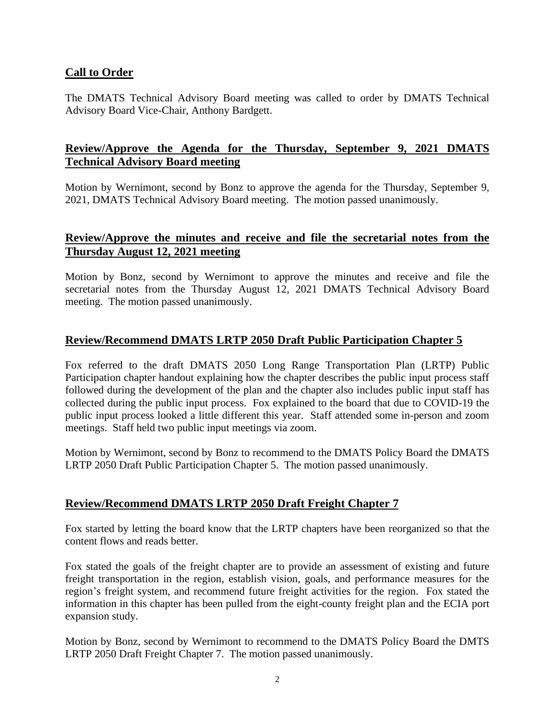## **Call to Order**

The DMATS Technical Advisory Board meeting was called to order by DMATS Technical Advisory Board Vice-Chair, Anthony Bardgett.

## **Review/Approve the Agenda for the Thursday, September 9, 2021 DMATS Technical Advisory Board meeting**

Motion by Wernimont, second by Bonz to approve the agenda for the Thursday, September 9, 2021, DMATS Technical Advisory Board meeting. The motion passed unanimously.

#### **Review/Approve the minutes and receive and file the secretarial notes from the Thursday August 12, 2021 meeting**

Motion by Bonz, second by Wernimont to approve the minutes and receive and file the secretarial notes from the Thursday August 12, 2021 DMATS Technical Advisory Board meeting. The motion passed unanimously.

## **Review/Recommend DMATS LRTP 2050 Draft Public Participation Chapter 5**

Fox referred to the draft DMATS 2050 Long Range Transportation Plan (LRTP) Public Participation chapter handout explaining how the chapter describes the public input process staff followed during the development of the plan and the chapter also includes public input staff has collected during the public input process. Fox explained to the board that due to COVID-19 the public input process looked a little different this year. Staff attended some in-person and zoom meetings. Staff held two public input meetings via zoom.

Motion by Wernimont, second by Bonz to recommend to the DMATS Policy Board the DMATS LRTP 2050 Draft Public Participation Chapter 5. The motion passed unanimously.

## **Review/Recommend DMATS LRTP 2050 Draft Freight Chapter 7**

Fox started by letting the board know that the LRTP chapters have been reorganized so that the content flows and reads better.

Fox stated the goals of the freight chapter are to provide an assessment of existing and future freight transportation in the region, establish vision, goals, and performance measures for the region's freight system, and recommend future freight activities for the region. Fox stated the information in this chapter has been pulled from the eight-county freight plan and the ECIA port expansion study.

Motion by Bonz, second by Wernimont to recommend to the DMATS Policy Board the DMTS LRTP 2050 Draft Freight Chapter 7. The motion passed unanimously.